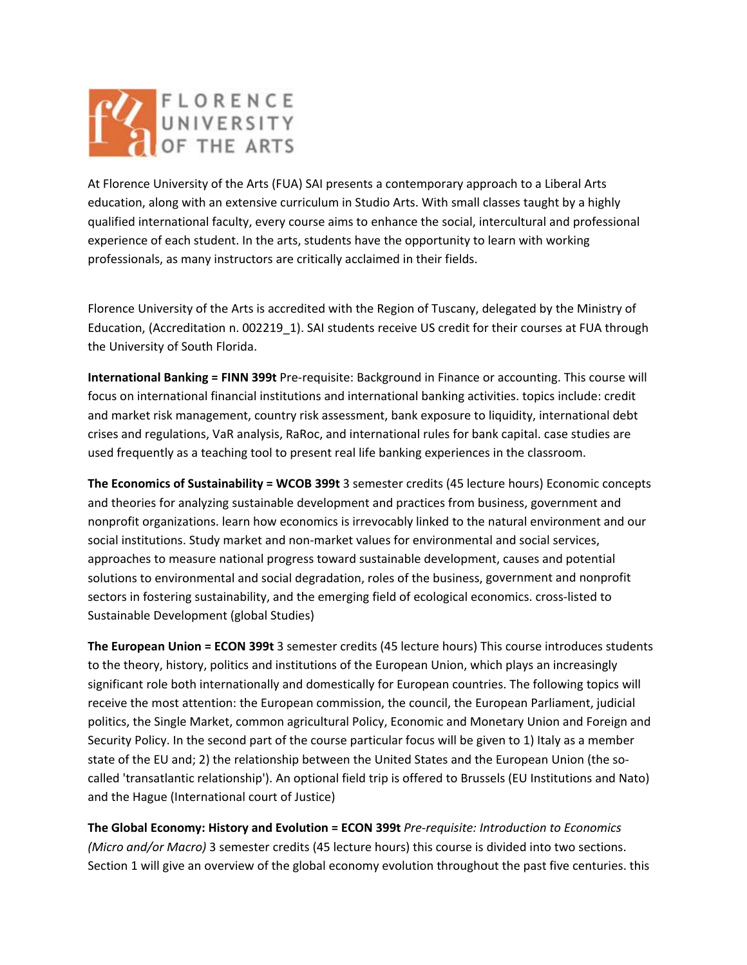

At Florence University of the Arts (FUA) SAI presents a contemporary approach to a Liberal Arts education, along with an extensive curriculum in Studio Arts. With small classes taught by a highly qualified international faculty, every course aims to enhance the social, intercultural and professional experience of each student. In the arts, students have the opportunity to learn with working professionals, as many instructors are critically acclaimed in their fields.

Florence University of the Arts is accredited with the Region of Tuscany, delegated by the Ministry of Education, (Accreditation n. 002219\_1). SAI students receive US credit for their courses at FUA through the University of South Florida.

**International Banking = FINN 399t** Pre‐requisite: Background in Finance or accounting. This course will focus on international financial institutions and international banking activities. topics include: credit and market risk management, country risk assessment, bank exposure to liquidity, international debt crises and regulations, VaR analysis, RaRoc, and international rules for bank capital. case studies are used frequently as a teaching tool to present real life banking experiences in the classroom.

**The Economics of Sustainability = WCOB 399t** 3 semester credits (45 lecture hours) Economic concepts and theories for analyzing sustainable development and practices from business, government and nonprofit organizations. learn how economics is irrevocably linked to the natural environment and our social institutions. Study market and non‐market values for environmental and social services, approaches to measure national progress toward sustainable development, causes and potential solutions to environmental and social degradation, roles of the business, government and nonprofit sectors in fostering sustainability, and the emerging field of ecological economics. cross-listed to Sustainable Development (global Studies)

**The European Union = ECON 399t** 3 semester credits (45 lecture hours) This course introduces students to the theory, history, politics and institutions of the European Union, which plays an increasingly significant role both internationally and domestically for European countries. The following topics will receive the most attention: the European commission, the council, the European Parliament, judicial politics, the Single Market, common agricultural Policy, Economic and Monetary Union and Foreign and Security Policy. In the second part of the course particular focus will be given to 1) Italy as a member state of the EU and; 2) the relationship between the United States and the European Union (the so‐ called 'transatlantic relationship'). An optional field trip is offered to Brussels (EU Institutions and Nato) and the Hague (International court of Justice)

**The Global Economy: History and Evolution = ECON 399t** *Pre‐requisite: Introduction to Economics (Micro and/or Macro)* 3 semester credits (45 lecture hours) this course is divided into two sections. Section 1 will give an overview of the global economy evolution throughout the past five centuries. this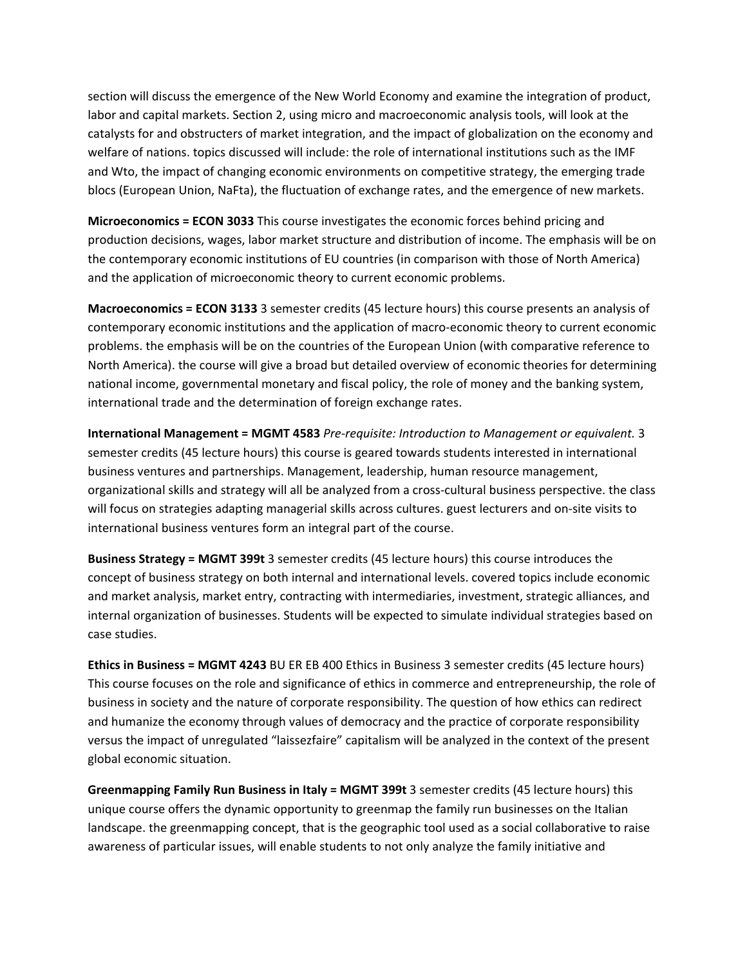section will discuss the emergence of the New World Economy and examine the integration of product, labor and capital markets. Section 2, using micro and macroeconomic analysis tools, will look at the catalysts for and obstructers of market integration, and the impact of globalization on the economy and welfare of nations. topics discussed will include: the role of international institutions such as the IMF and Wto, the impact of changing economic environments on competitive strategy, the emerging trade blocs (European Union, NaFta), the fluctuation of exchange rates, and the emergence of new markets.

**Microeconomics = ECON 3033** This course investigates the economic forces behind pricing and production decisions, wages, labor market structure and distribution of income. The emphasis will be on the contemporary economic institutions of EU countries (in comparison with those of North America) and the application of microeconomic theory to current economic problems.

**Macroeconomics = ECON 3133** 3 semester credits (45 lecture hours) this course presents an analysis of contemporary economic institutions and the application of macro‐economic theory to current economic problems. the emphasis will be on the countries of the European Union (with comparative reference to North America). the course will give a broad but detailed overview of economic theories for determining national income, governmental monetary and fiscal policy, the role of money and the banking system, international trade and the determination of foreign exchange rates.

**International Management = MGMT 4583** *Pre‐requisite: Introduction to Management or equivalent.* 3 semester credits (45 lecture hours) this course is geared towards students interested in international business ventures and partnerships. Management, leadership, human resource management, organizational skills and strategy will all be analyzed from a cross‐cultural business perspective. the class will focus on strategies adapting managerial skills across cultures. guest lecturers and on‐site visits to international business ventures form an integral part of the course.

**Business Strategy = MGMT 399t** 3 semester credits (45 lecture hours) this course introduces the concept of business strategy on both internal and international levels. covered topics include economic and market analysis, market entry, contracting with intermediaries, investment, strategic alliances, and internal organization of businesses. Students will be expected to simulate individual strategies based on case studies.

**Ethics in Business = MGMT 4243** BU ER EB 400 Ethics in Business 3 semester credits (45 lecture hours) This course focuses on the role and significance of ethics in commerce and entrepreneurship, the role of business in society and the nature of corporate responsibility. The question of how ethics can redirect and humanize the economy through values of democracy and the practice of corporate responsibility versus the impact of unregulated "laissezfaire" capitalism will be analyzed in the context of the present global economic situation.

**Greenmapping Family Run Business in Italy = MGMT 399t** 3 semester credits (45 lecture hours) this unique course offers the dynamic opportunity to greenmap the family run businesses on the Italian landscape. the greenmapping concept, that is the geographic tool used as a social collaborative to raise awareness of particular issues, will enable students to not only analyze the family initiative and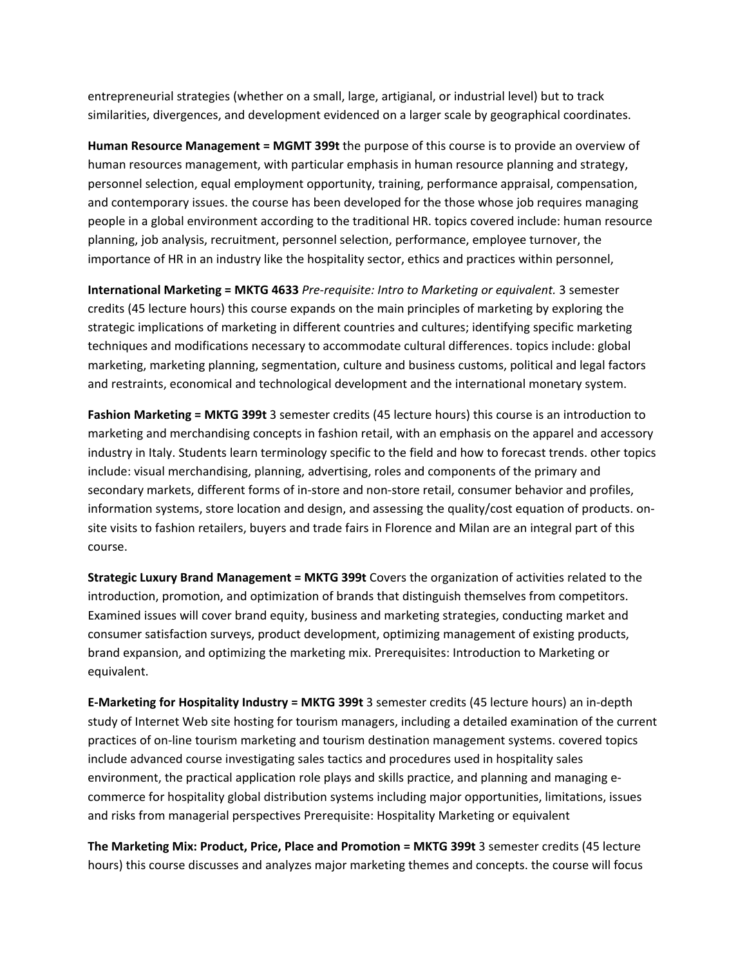entrepreneurial strategies (whether on a small, large, artigianal, or industrial level) but to track similarities, divergences, and development evidenced on a larger scale by geographical coordinates.

**Human Resource Management = MGMT 399t** the purpose of this course is to provide an overview of human resources management, with particular emphasis in human resource planning and strategy, personnel selection, equal employment opportunity, training, performance appraisal, compensation, and contemporary issues. the course has been developed for the those whose job requires managing people in a global environment according to the traditional HR. topics covered include: human resource planning, job analysis, recruitment, personnel selection, performance, employee turnover, the importance of HR in an industry like the hospitality sector, ethics and practices within personnel,

**International Marketing = MKTG 4633** *Pre‐requisite: Intro to Marketing or equivalent.* 3 semester credits (45 lecture hours) this course expands on the main principles of marketing by exploring the strategic implications of marketing in different countries and cultures; identifying specific marketing techniques and modifications necessary to accommodate cultural differences. topics include: global marketing, marketing planning, segmentation, culture and business customs, political and legal factors and restraints, economical and technological development and the international monetary system.

**Fashion Marketing = MKTG 399t** 3 semester credits (45 lecture hours) this course is an introduction to marketing and merchandising concepts in fashion retail, with an emphasis on the apparel and accessory industry in Italy. Students learn terminology specific to the field and how to forecast trends. other topics include: visual merchandising, planning, advertising, roles and components of the primary and secondary markets, different forms of in-store and non-store retail, consumer behavior and profiles, information systems, store location and design, and assessing the quality/cost equation of products. on‐ site visits to fashion retailers, buyers and trade fairs in Florence and Milan are an integral part of this course.

**Strategic Luxury Brand Management = MKTG 399t** Covers the organization of activities related to the introduction, promotion, and optimization of brands that distinguish themselves from competitors. Examined issues will cover brand equity, business and marketing strategies, conducting market and consumer satisfaction surveys, product development, optimizing management of existing products, brand expansion, and optimizing the marketing mix. Prerequisites: Introduction to Marketing or equivalent.

**E‐Marketing for Hospitality Industry = MKTG 399t** 3 semester credits (45 lecture hours) an in‐depth study of Internet Web site hosting for tourism managers, including a detailed examination of the current practices of on‐line tourism marketing and tourism destination management systems. covered topics include advanced course investigating sales tactics and procedures used in hospitality sales environment, the practical application role plays and skills practice, and planning and managing ecommerce for hospitality global distribution systems including major opportunities, limitations, issues and risks from managerial perspectives Prerequisite: Hospitality Marketing or equivalent

**The Marketing Mix: Product, Price, Place and Promotion = MKTG 399t** 3 semester credits (45 lecture hours) this course discusses and analyzes major marketing themes and concepts. the course will focus